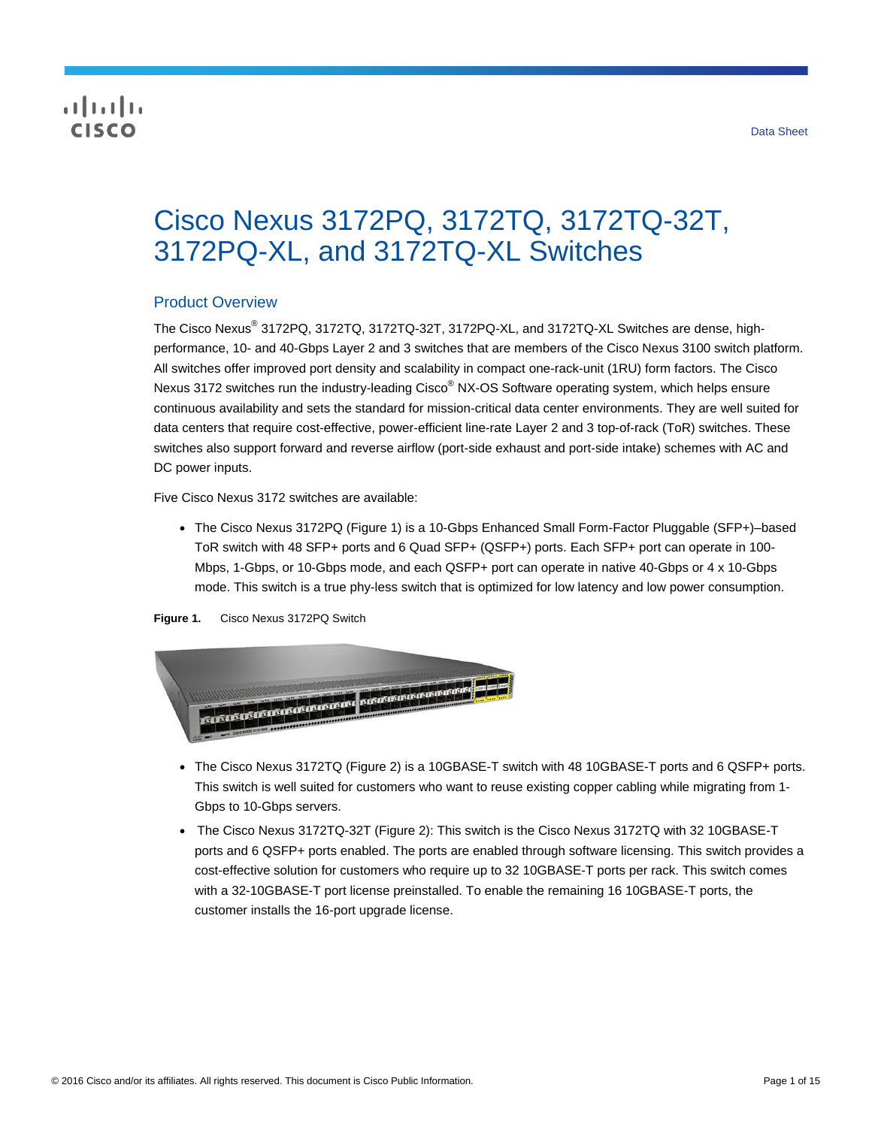## **CISCO**

# Cisco Nexus 3172PQ, 3172TQ, 3172TQ-32T, 3172PQ-XL, and 3172TQ-XL Switches

## Product Overview

The Cisco Nexus® 3172PQ, 3172TQ, 3172TQ-32T, 3172PQ-XL, and 3172TQ-XL Switches are dense, highperformance, 10- and 40-Gbps Layer 2 and 3 switches that are members of the Cisco Nexus 3100 switch platform. All switches offer improved port density and scalability in compact one-rack-unit (1RU) form factors. The Cisco Nexus 3172 switches run the industry-leading Cisco<sup>®</sup> NX-OS Software operating system, which helps ensure continuous availability and sets the standard for mission-critical data center environments. They are well suited for data centers that require cost-effective, power-efficient line-rate Layer 2 and 3 top-of-rack (ToR) switches. These switches also support forward and reverse airflow (port-side exhaust and port-side intake) schemes with AC and DC power inputs.

Five Cisco Nexus 3172 switches are available:

• The Cisco Nexus 3172PQ (Figure 1) is a 10-Gbps Enhanced Small Form-Factor Pluggable (SFP+)–based ToR switch with 48 SFP+ ports and 6 Quad SFP+ (QSFP+) ports. Each SFP+ port can operate in 100- Mbps, 1-Gbps, or 10-Gbps mode, and each QSFP+ port can operate in native 40-Gbps or 4 x 10-Gbps mode. This switch is a true phy-less switch that is optimized for low latency and low power consumption.

#### **Figure 1.** Cisco Nexus 3172PQ Switch



- The Cisco Nexus 3172TQ (Figure 2) is a 10GBASE-T switch with 48 10GBASE-T ports and 6 QSFP+ ports. This switch is well suited for customers who want to reuse existing copper cabling while migrating from 1- Gbps to 10-Gbps servers.
- The Cisco Nexus 3172TQ-32T (Figure 2): This switch is the Cisco Nexus 3172TQ with 32 10GBASE-T ports and 6 QSFP+ ports enabled. The ports are enabled through software licensing. This switch provides a cost-effective solution for customers who require up to 32 10GBASE-T ports per rack. This switch comes with a 32-10GBASE-T port license preinstalled. To enable the remaining 16 10GBASE-T ports, the customer installs the 16-port upgrade license.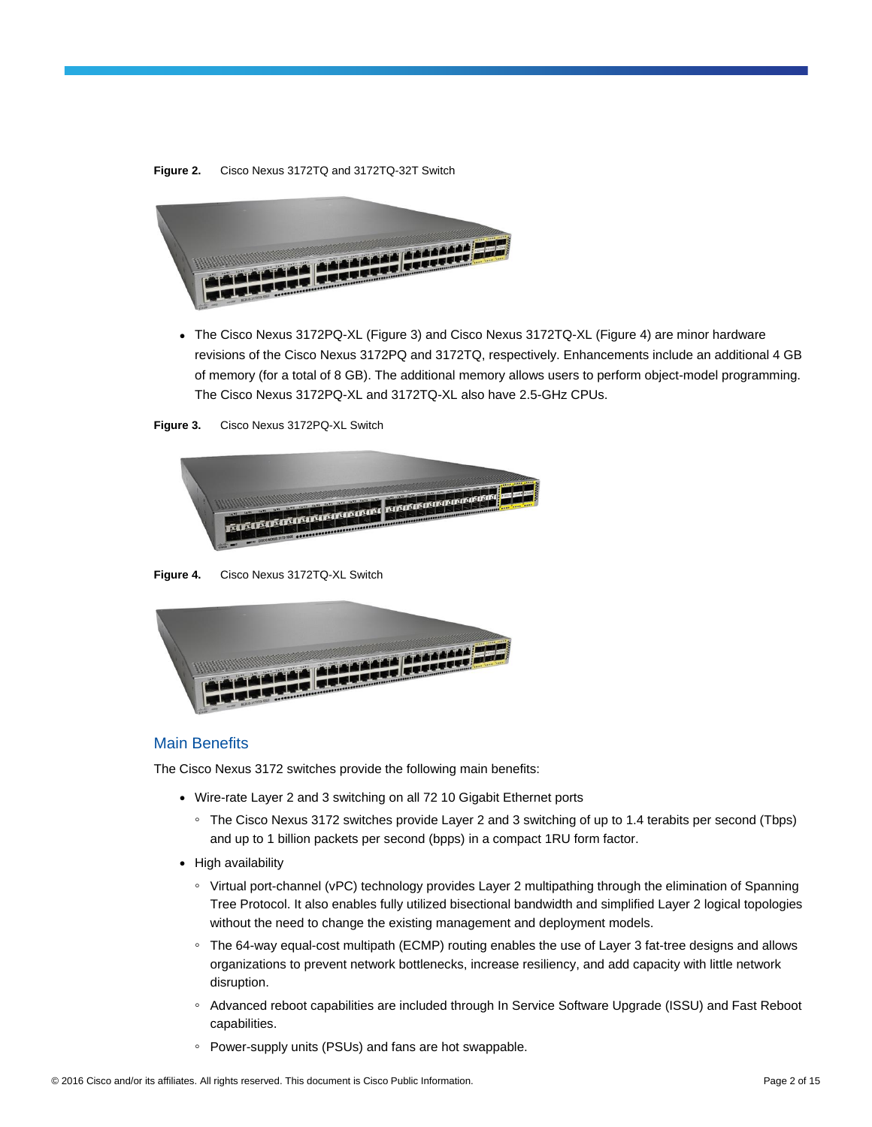#### **Figure 2.** Cisco Nexus 3172TQ and 3172TQ-32T Switch



● The Cisco Nexus 3172PQ-XL (Figure 3) and Cisco Nexus 3172TQ-XL (Figure 4) are minor hardware revisions of the Cisco Nexus 3172PQ and 3172TQ, respectively. Enhancements include an additional 4 GB of memory (for a total of 8 GB). The additional memory allows users to perform object-model programming. The Cisco Nexus 3172PQ-XL and 3172TQ-XL also have 2.5-GHz CPUs.





**Figure 4.** Cisco Nexus 3172TQ-XL Switch



#### Main Benefits

The Cisco Nexus 3172 switches provide the following main benefits:

- Wire-rate Layer 2 and 3 switching on all 72 10 Gigabit Ethernet ports
	- The Cisco Nexus 3172 switches provide Layer 2 and 3 switching of up to 1.4 terabits per second (Tbps) and up to 1 billion packets per second (bpps) in a compact 1RU form factor.
- High availability
	- Virtual port-channel (vPC) technology provides Layer 2 multipathing through the elimination of Spanning Tree Protocol. It also enables fully utilized bisectional bandwidth and simplified Layer 2 logical topologies without the need to change the existing management and deployment models.
	- The 64-way equal-cost multipath (ECMP) routing enables the use of Layer 3 fat-tree designs and allows organizations to prevent network bottlenecks, increase resiliency, and add capacity with little network disruption.
	- Advanced reboot capabilities are included through In Service Software Upgrade (ISSU) and Fast Reboot capabilities.
	- Power-supply units (PSUs) and fans are hot swappable.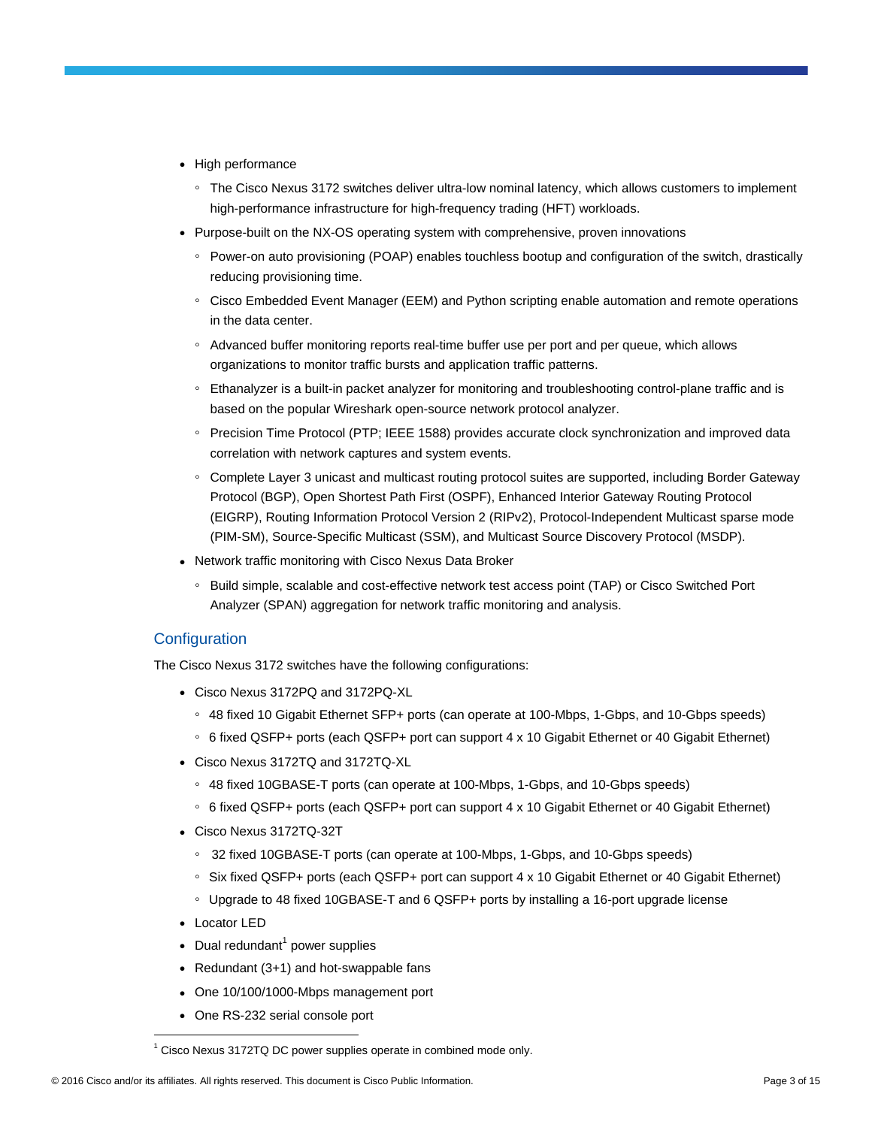- High performance
	- The Cisco Nexus 3172 switches deliver ultra-low nominal latency, which allows customers to implement high-performance infrastructure for high-frequency trading (HFT) workloads.
- Purpose-built on the NX-OS operating system with comprehensive, proven innovations
	- Power-on auto provisioning (POAP) enables touchless bootup and configuration of the switch, drastically reducing provisioning time.
	- Cisco Embedded Event Manager (EEM) and Python scripting enable automation and remote operations in the data center.
	- Advanced buffer monitoring reports real-time buffer use per port and per queue, which allows organizations to monitor traffic bursts and application traffic patterns.
	- Ethanalyzer is a built-in packet analyzer for monitoring and troubleshooting control-plane traffic and is based on the popular Wireshark open-source network protocol analyzer.
	- Precision Time Protocol (PTP; IEEE 1588) provides accurate clock synchronization and improved data correlation with network captures and system events.
	- Complete Layer 3 unicast and multicast routing protocol suites are supported, including Border Gateway Protocol (BGP), Open Shortest Path First (OSPF), Enhanced Interior Gateway Routing Protocol (EIGRP), Routing Information Protocol Version 2 (RIPv2), Protocol-Independent Multicast sparse mode (PIM-SM), Source-Specific Multicast (SSM), and Multicast Source Discovery Protocol (MSDP).
- Network traffic monitoring with Cisco Nexus Data Broker
	- Build simple, scalable and cost-effective network test access point (TAP) or Cisco Switched Port Analyzer (SPAN) aggregation for network traffic monitoring and analysis.

## **Configuration**

The Cisco Nexus 3172 switches have the following configurations:

- Cisco Nexus 3172PQ and 3172PQ-XL
	- 48 fixed 10 Gigabit Ethernet SFP+ ports (can operate at 100-Mbps, 1-Gbps, and 10-Gbps speeds)
	- 6 fixed QSFP+ ports (each QSFP+ port can support 4 x 10 Gigabit Ethernet or 40 Gigabit Ethernet)
- Cisco Nexus 3172TQ and 3172TQ-XL
	- 48 fixed 10GBASE-T ports (can operate at 100-Mbps, 1-Gbps, and 10-Gbps speeds)
	- 6 fixed QSFP+ ports (each QSFP+ port can support 4 x 10 Gigabit Ethernet or 40 Gigabit Ethernet)
- Cisco Nexus 3172TQ-32T
	- 32 fixed 10GBASE-T ports (can operate at 100-Mbps, 1-Gbps, and 10-Gbps speeds)
	- Six fixed QSFP+ ports (each QSFP+ port can support 4 x 10 Gigabit Ethernet or 40 Gigabit Ethernet)
	- Upgrade to 48 fixed 10GBASE-T and 6 QSFP+ ports by installing a 16-port upgrade license
- Locator LED

 $\overline{a}$ 

- Dual redundant<sup>1</sup> power supplies
- Redundant (3+1) and hot-swappable fans
- One 10/100/1000-Mbps management port
- One RS-232 serial console port

Cisco Nexus 3172TQ DC power supplies operate in combined mode only.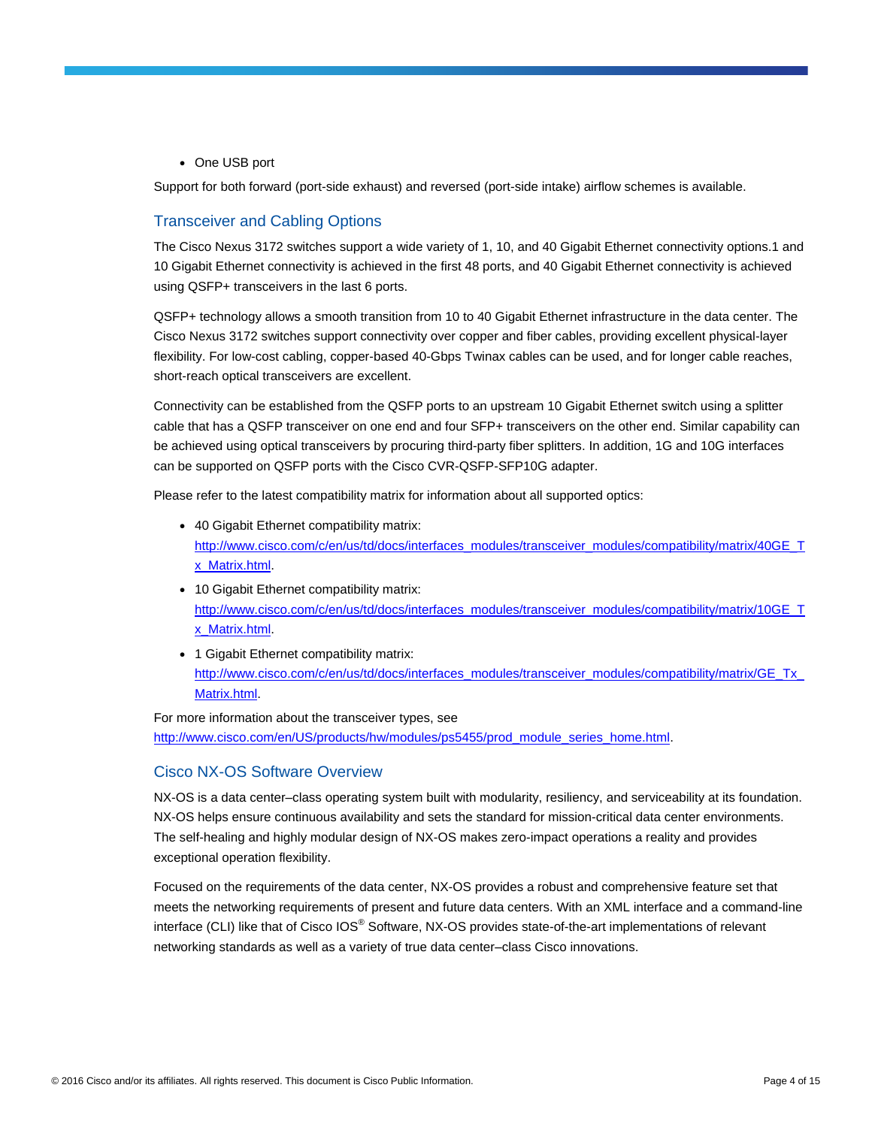• One USB port

Support for both forward (port-side exhaust) and reversed (port-side intake) airflow schemes is available.

## Transceiver and Cabling Options

The Cisco Nexus 3172 switches support a wide variety of 1, 10, and 40 Gigabit Ethernet connectivity options.1 and 10 Gigabit Ethernet connectivity is achieved in the first 48 ports, and 40 Gigabit Ethernet connectivity is achieved using QSFP+ transceivers in the last 6 ports.

QSFP+ technology allows a smooth transition from 10 to 40 Gigabit Ethernet infrastructure in the data center. The Cisco Nexus 3172 switches support connectivity over copper and fiber cables, providing excellent physical-layer flexibility. For low-cost cabling, copper-based 40-Gbps Twinax cables can be used, and for longer cable reaches, short-reach optical transceivers are excellent.

Connectivity can be established from the QSFP ports to an upstream 10 Gigabit Ethernet switch using a splitter cable that has a QSFP transceiver on one end and four SFP+ transceivers on the other end. Similar capability can be achieved using optical transceivers by procuring third-party fiber splitters. In addition, 1G and 10G interfaces can be supported on QSFP ports with the Cisco CVR-QSFP-SFP10G adapter.

Please refer to the latest compatibility matrix for information about all supported optics:

- 40 Gigabit Ethernet compatibility matrix: [http://www.cisco.com/c/en/us/td/docs/interfaces\\_modules/transceiver\\_modules/compatibility/matrix/40GE\\_T](http://www.cisco.com/c/en/us/td/docs/interfaces_modules/transceiver_modules/compatibility/matrix/40GE_Tx_Matrix.html) [x\\_Matrix.html.](http://www.cisco.com/c/en/us/td/docs/interfaces_modules/transceiver_modules/compatibility/matrix/40GE_Tx_Matrix.html)
- 10 Gigabit Ethernet compatibility matrix: [http://www.cisco.com/c/en/us/td/docs/interfaces\\_modules/transceiver\\_modules/compatibility/matrix/10GE\\_T](http://www.cisco.com/c/en/us/td/docs/interfaces_modules/transceiver_modules/compatibility/matrix/10GE_Tx_Matrix.html) [x\\_Matrix.html.](http://www.cisco.com/c/en/us/td/docs/interfaces_modules/transceiver_modules/compatibility/matrix/10GE_Tx_Matrix.html)
- 1 Gigabit Ethernet compatibility matrix: [http://www.cisco.com/c/en/us/td/docs/interfaces\\_modules/transceiver\\_modules/compatibility/matrix/GE\\_Tx\\_](http://www.cisco.com/c/en/us/td/docs/interfaces_modules/transceiver_modules/compatibility/matrix/GE_Tx_Matrix.html) [Matrix.html.](http://www.cisco.com/c/en/us/td/docs/interfaces_modules/transceiver_modules/compatibility/matrix/GE_Tx_Matrix.html)

For more information about the transceiver types, see [http://www.cisco.com/en/US/products/hw/modules/ps5455/prod\\_module\\_series\\_home.html.](http://www.cisco.com/en/US/products/hw/modules/ps5455/prod_module_series_home.html)

## Cisco NX-OS Software Overview

NX-OS is a data center–class operating system built with modularity, resiliency, and serviceability at its foundation. NX-OS helps ensure continuous availability and sets the standard for mission-critical data center environments. The self-healing and highly modular design of NX-OS makes zero-impact operations a reality and provides exceptional operation flexibility.

Focused on the requirements of the data center, NX-OS provides a robust and comprehensive feature set that meets the networking requirements of present and future data centers. With an XML interface and a command-line interface (CLI) like that of Cisco IOS® Software, NX-OS provides state-of-the-art implementations of relevant networking standards as well as a variety of true data center–class Cisco innovations.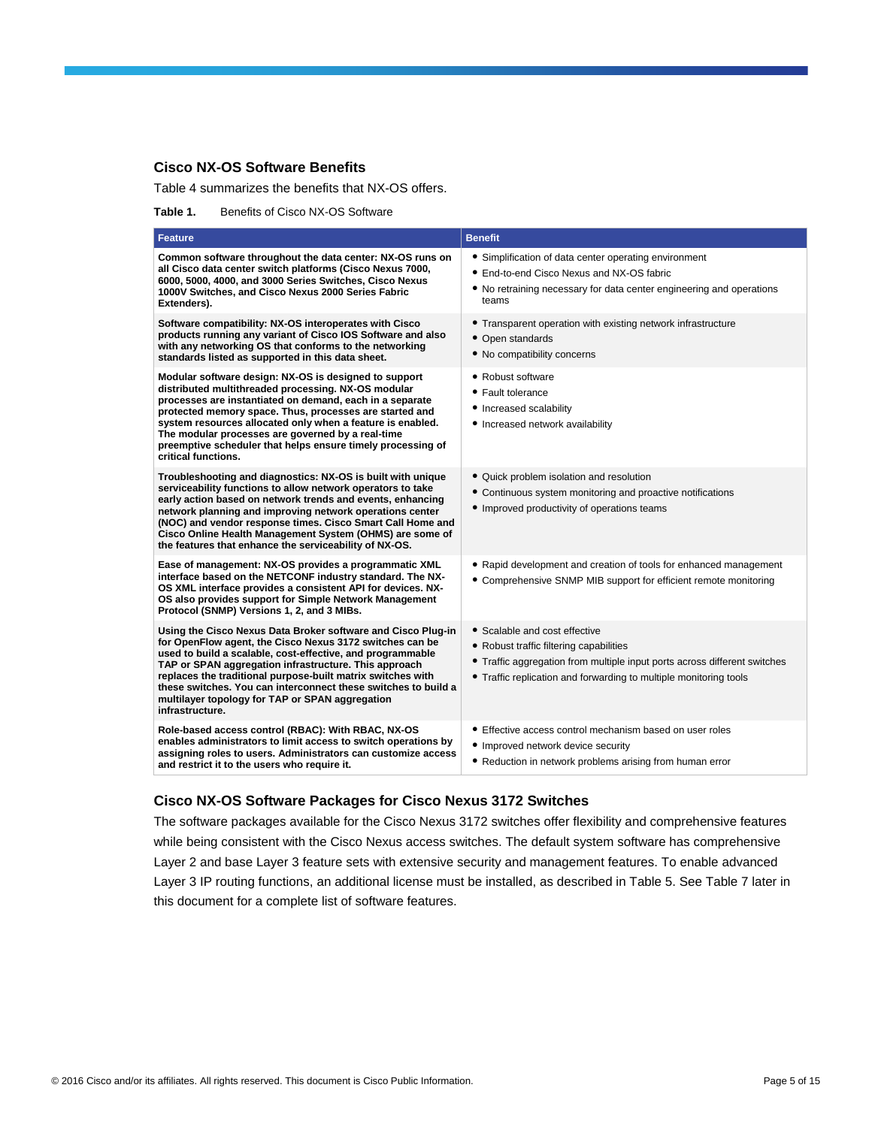## **Cisco NX-OS Software Benefits**

Table 4 summarizes the benefits that NX-OS offers.

Table 1. Benefits of Cisco NX-OS Software

| Feature                                                                                                                                                                                                                                                                                                                                                                                                                                                | <b>Benefit</b>                                                                                                                                                                                                             |
|--------------------------------------------------------------------------------------------------------------------------------------------------------------------------------------------------------------------------------------------------------------------------------------------------------------------------------------------------------------------------------------------------------------------------------------------------------|----------------------------------------------------------------------------------------------------------------------------------------------------------------------------------------------------------------------------|
| Common software throughout the data center: NX-OS runs on<br>all Cisco data center switch platforms (Cisco Nexus 7000,<br>6000, 5000, 4000, and 3000 Series Switches, Cisco Nexus<br>1000V Switches, and Cisco Nexus 2000 Series Fabric<br>Extenders).                                                                                                                                                                                                 | • Simplification of data center operating environment<br>• End-to-end Cisco Nexus and NX-OS fabric<br>• No retraining necessary for data center engineering and operations<br>teams                                        |
| Software compatibility: NX-OS interoperates with Cisco<br>products running any variant of Cisco IOS Software and also<br>with any networking OS that conforms to the networking<br>standards listed as supported in this data sheet.                                                                                                                                                                                                                   | • Transparent operation with existing network infrastructure<br>• Open standards<br>• No compatibility concerns                                                                                                            |
| Modular software design: NX-OS is designed to support<br>distributed multithreaded processing. NX-OS modular<br>processes are instantiated on demand, each in a separate<br>protected memory space. Thus, processes are started and<br>system resources allocated only when a feature is enabled.<br>The modular processes are governed by a real-time<br>preemptive scheduler that helps ensure timely processing of<br>critical functions.           | • Robust software<br>• Fault tolerance<br>• Increased scalability<br>• Increased network availability                                                                                                                      |
| Troubleshooting and diagnostics: NX-OS is built with unique<br>serviceability functions to allow network operators to take<br>early action based on network trends and events, enhancing<br>network planning and improving network operations center<br>(NOC) and vendor response times. Cisco Smart Call Home and<br>Cisco Online Health Management System (OHMS) are some of<br>the features that enhance the serviceability of NX-OS.               | • Quick problem isolation and resolution<br>• Continuous system monitoring and proactive notifications<br>• Improved productivity of operations teams                                                                      |
| Ease of management: NX-OS provides a programmatic XML<br>interface based on the NETCONF industry standard. The NX-<br>OS XML interface provides a consistent API for devices. NX-<br>OS also provides support for Simple Network Management<br>Protocol (SNMP) Versions 1, 2, and 3 MIBs.                                                                                                                                                              | • Rapid development and creation of tools for enhanced management<br>• Comprehensive SNMP MIB support for efficient remote monitoring                                                                                      |
| Using the Cisco Nexus Data Broker software and Cisco Plug-in<br>for OpenFlow agent, the Cisco Nexus 3172 switches can be<br>used to build a scalable, cost-effective, and programmable<br>TAP or SPAN aggregation infrastructure. This approach<br>replaces the traditional purpose-built matrix switches with<br>these switches. You can interconnect these switches to build a<br>multilayer topology for TAP or SPAN aggregation<br>infrastructure. | • Scalable and cost effective<br>• Robust traffic filtering capabilities<br>• Traffic aggregation from multiple input ports across different switches<br>• Traffic replication and forwarding to multiple monitoring tools |
| Role-based access control (RBAC): With RBAC, NX-OS<br>enables administrators to limit access to switch operations by<br>assigning roles to users. Administrators can customize access<br>and restrict it to the users who require it.                                                                                                                                                                                                                  | • Effective access control mechanism based on user roles<br>• Improved network device security<br>• Reduction in network problems arising from human error                                                                 |

## **Cisco NX-OS Software Packages for Cisco Nexus 3172 Switches**

The software packages available for the Cisco Nexus 3172 switches offer flexibility and comprehensive features while being consistent with the Cisco Nexus access switches. The default system software has comprehensive Layer 2 and base Layer 3 feature sets with extensive security and management features. To enable advanced Layer 3 IP routing functions, an additional license must be installed, as described in Table 5. See Table 7 later in this document for a complete list of software features.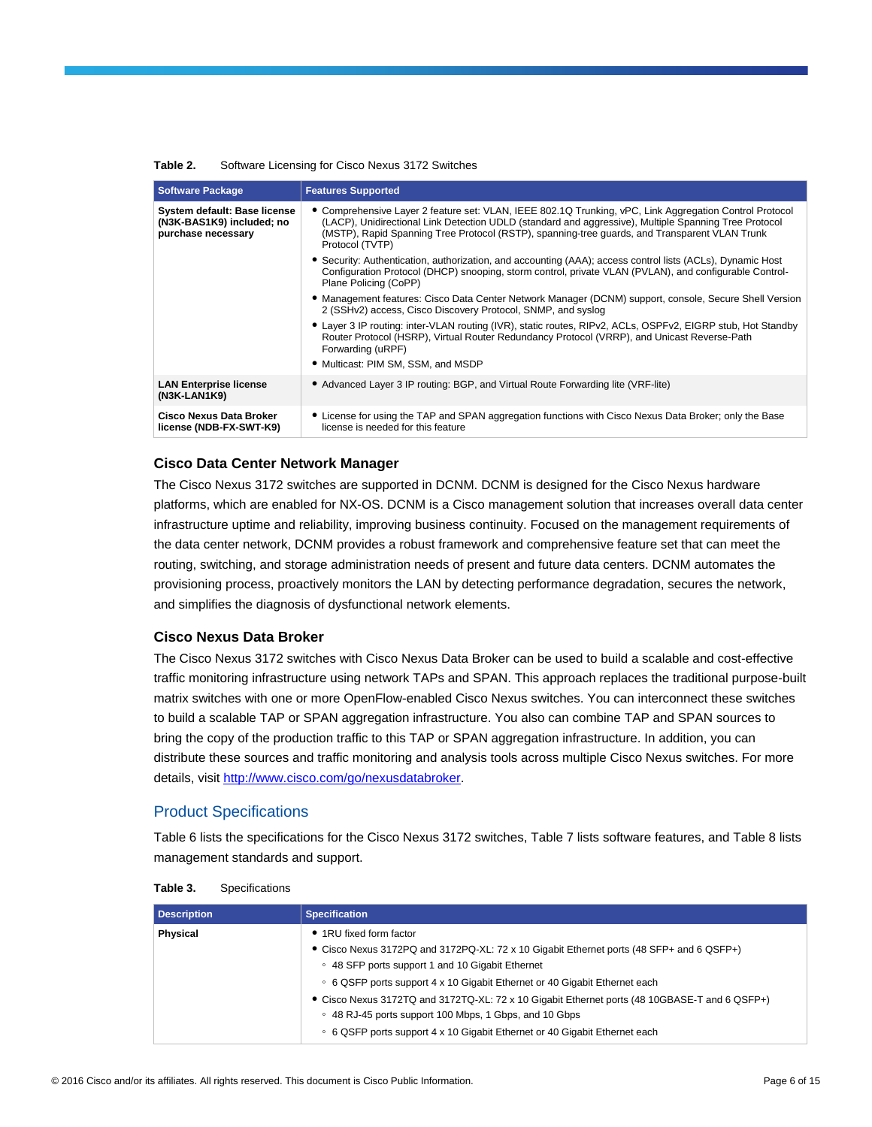| Table 2. | Software Licensing for Cisco Nexus 3172 Switches |
|----------|--------------------------------------------------|
|----------|--------------------------------------------------|

| <b>Software Package</b>                                                         | <b>Features Supported</b>                                                                                                                                                                                                                                                                                                            |
|---------------------------------------------------------------------------------|--------------------------------------------------------------------------------------------------------------------------------------------------------------------------------------------------------------------------------------------------------------------------------------------------------------------------------------|
| System default: Base license<br>(N3K-BAS1K9) included; no<br>purchase necessary | • Comprehensive Layer 2 feature set: VLAN, IEEE 802.1Q Trunking, vPC, Link Aggregation Control Protocol<br>(LACP), Unidirectional Link Detection UDLD (standard and aggressive), Multiple Spanning Tree Protocol<br>(MSTP), Rapid Spanning Tree Protocol (RSTP), spanning-tree guards, and Transparent VLAN Trunk<br>Protocol (TVTP) |
|                                                                                 | • Security: Authentication, authorization, and accounting (AAA); access control lists (ACLs), Dynamic Host<br>Configuration Protocol (DHCP) snooping, storm control, private VLAN (PVLAN), and configurable Control-<br>Plane Policing (CoPP)                                                                                        |
|                                                                                 | • Management features: Cisco Data Center Network Manager (DCNM) support, console, Secure Shell Version<br>2 (SSHv2) access, Cisco Discovery Protocol, SNMP, and syslog                                                                                                                                                               |
|                                                                                 | • Layer 3 IP routing: inter-VLAN routing (IVR), static routes, RIPv2, ACLs, OSPFv2, EIGRP stub, Hot Standby<br>Router Protocol (HSRP), Virtual Router Redundancy Protocol (VRRP), and Unicast Reverse-Path<br>Forwarding (uRPF)                                                                                                      |
|                                                                                 | • Multicast: PIM SM, SSM, and MSDP                                                                                                                                                                                                                                                                                                   |
| <b>LAN Enterprise license</b><br>(N3K-LAN1K9)                                   | • Advanced Layer 3 IP routing: BGP, and Virtual Route Forwarding lite (VRF-lite)                                                                                                                                                                                                                                                     |
| <b>Cisco Nexus Data Broker</b><br>license (NDB-FX-SWT-K9)                       | • License for using the TAP and SPAN aggregation functions with Cisco Nexus Data Broker; only the Base<br>license is needed for this feature                                                                                                                                                                                         |

#### **Cisco Data Center Network Manager**

The Cisco Nexus 3172 switches are supported in DCNM. DCNM is designed for the Cisco Nexus hardware platforms, which are enabled for NX-OS. DCNM is a Cisco management solution that increases overall data center infrastructure uptime and reliability, improving business continuity. Focused on the management requirements of the data center network, DCNM provides a robust framework and comprehensive feature set that can meet the routing, switching, and storage administration needs of present and future data centers. DCNM automates the provisioning process, proactively monitors the LAN by detecting performance degradation, secures the network, and simplifies the diagnosis of dysfunctional network elements.

#### **Cisco Nexus Data Broker**

The Cisco Nexus 3172 switches with Cisco Nexus Data Broker can be used to build a scalable and cost-effective traffic monitoring infrastructure using network TAPs and SPAN. This approach replaces the traditional purpose-built matrix switches with one or more OpenFlow-enabled Cisco Nexus switches. You can interconnect these switches to build a scalable TAP or SPAN aggregation infrastructure. You also can combine TAP and SPAN sources to bring the copy of the production traffic to this TAP or SPAN aggregation infrastructure. In addition, you can distribute these sources and traffic monitoring and analysis tools across multiple Cisco Nexus switches. For more details, visit [http://www.cisco.com/go/nexusdatabroker.](http://www.cisco.com/go/nexusdatabroker)

#### Product Specifications

Table 6 lists the specifications for the Cisco Nexus 3172 switches, Table 7 lists software features, and Table 8 lists management standards and support.

| <b>Description</b> | <b>Specification</b>                                                                          |
|--------------------|-----------------------------------------------------------------------------------------------|
| Physical           | • 1RU fixed form factor                                                                       |
|                    | • Cisco Nexus 3172PQ and 3172PQ-XL: 72 x 10 Gigabit Ethernet ports (48 SFP+ and 6 QSFP+)      |
|                    | ○ 48 SFP ports support 1 and 10 Gigabit Ethernet                                              |
|                    | ○ 6 QSFP ports support 4 x 10 Gigabit Ethernet or 40 Gigabit Ethernet each                    |
|                    | • Cisco Nexus 3172TQ and 3172TQ-XL: 72 x 10 Gigabit Ethernet ports (48 10GBASE-T and 6 QSFP+) |
|                    | ○ 48 RJ-45 ports support 100 Mbps, 1 Gbps, and 10 Gbps                                        |
|                    | ○ 6 QSFP ports support 4 x 10 Gigabit Ethernet or 40 Gigabit Ethernet each                    |

| Table 3. | Specifications |
|----------|----------------|
|----------|----------------|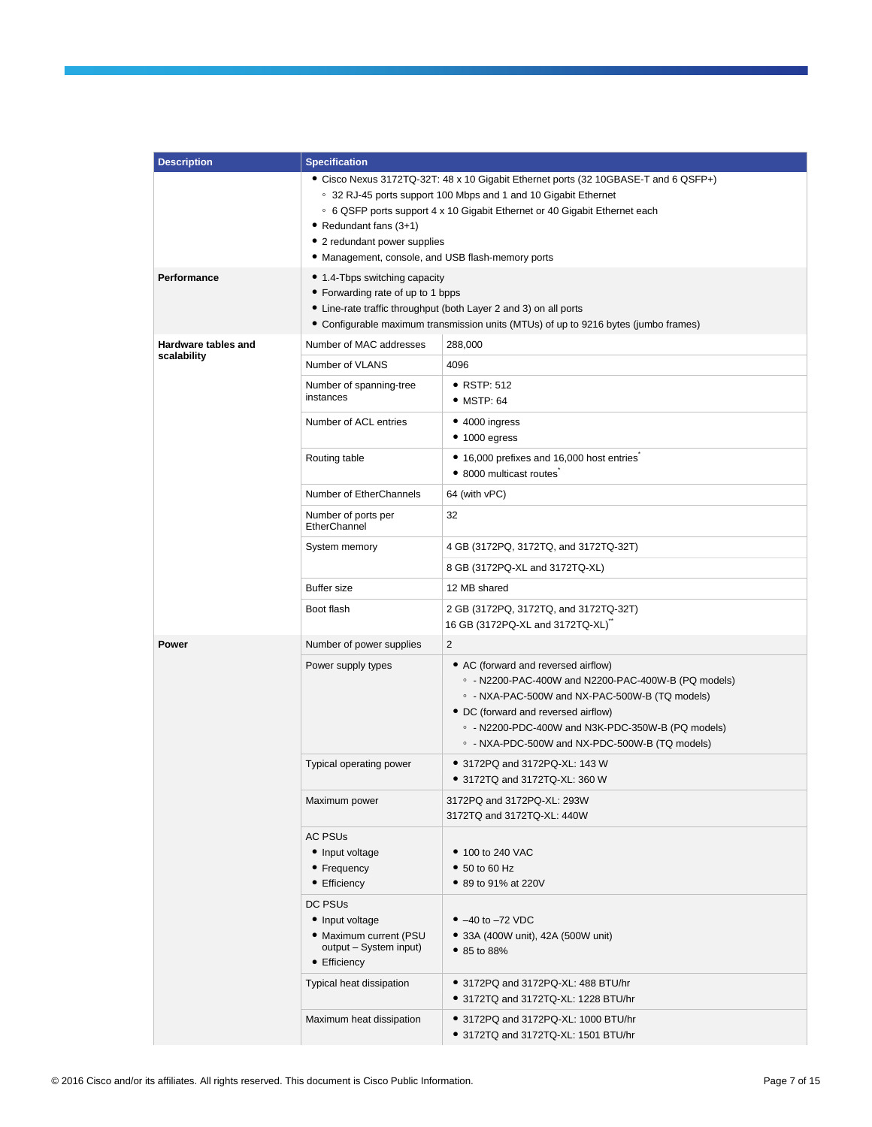| <b>Description</b>  | <b>Specification</b>                                                                                                                                                                                                                                                                                                                                |                                                                                                                                                                                                                                                                                                        |
|---------------------|-----------------------------------------------------------------------------------------------------------------------------------------------------------------------------------------------------------------------------------------------------------------------------------------------------------------------------------------------------|--------------------------------------------------------------------------------------------------------------------------------------------------------------------------------------------------------------------------------------------------------------------------------------------------------|
|                     | • Cisco Nexus 3172TQ-32T: 48 x 10 Gigabit Ethernet ports (32 10GBASE-T and 6 QSFP+)<br>○ 32 RJ-45 ports support 100 Mbps and 1 and 10 Gigabit Ethernet<br>○ 6 QSFP ports support 4 x 10 Gigabit Ethernet or 40 Gigabit Ethernet each<br>• Redundant fans (3+1)<br>• 2 redundant power supplies<br>• Management, console, and USB flash-memory ports |                                                                                                                                                                                                                                                                                                        |
| Performance         | • 1.4-Tbps switching capacity<br>• Forwarding rate of up to 1 bpps<br>• Line-rate traffic throughput (both Layer 2 and 3) on all ports<br>• Configurable maximum transmission units (MTUs) of up to 9216 bytes (jumbo frames)                                                                                                                       |                                                                                                                                                                                                                                                                                                        |
| Hardware tables and | Number of MAC addresses                                                                                                                                                                                                                                                                                                                             | 288,000                                                                                                                                                                                                                                                                                                |
| scalability         | Number of VLANS                                                                                                                                                                                                                                                                                                                                     | 4096                                                                                                                                                                                                                                                                                                   |
|                     | Number of spanning-tree<br>instances                                                                                                                                                                                                                                                                                                                | $\bullet$ RSTP: 512<br>$•$ MSTP: 64                                                                                                                                                                                                                                                                    |
|                     | Number of ACL entries                                                                                                                                                                                                                                                                                                                               | $\bullet$ 4000 ingress<br>$\bullet$ 1000 egress                                                                                                                                                                                                                                                        |
|                     | Routing table                                                                                                                                                                                                                                                                                                                                       | • 16,000 prefixes and 16,000 host entries<br>• 8000 multicast routes                                                                                                                                                                                                                                   |
|                     | Number of EtherChannels                                                                                                                                                                                                                                                                                                                             | 64 (with vPC)                                                                                                                                                                                                                                                                                          |
|                     | Number of ports per<br>EtherChannel                                                                                                                                                                                                                                                                                                                 | 32                                                                                                                                                                                                                                                                                                     |
|                     | System memory                                                                                                                                                                                                                                                                                                                                       | 4 GB (3172PQ, 3172TQ, and 3172TQ-32T)                                                                                                                                                                                                                                                                  |
|                     |                                                                                                                                                                                                                                                                                                                                                     | 8 GB (3172PQ-XL and 3172TQ-XL)                                                                                                                                                                                                                                                                         |
|                     | <b>Buffer size</b>                                                                                                                                                                                                                                                                                                                                  | 12 MB shared                                                                                                                                                                                                                                                                                           |
|                     | Boot flash                                                                                                                                                                                                                                                                                                                                          | 2 GB (3172PQ, 3172TQ, and 3172TQ-32T)<br>16 GB (3172PQ-XL and 3172TQ-XL)                                                                                                                                                                                                                               |
| Power               | Number of power supplies                                                                                                                                                                                                                                                                                                                            | 2                                                                                                                                                                                                                                                                                                      |
|                     | Power supply types                                                                                                                                                                                                                                                                                                                                  | • AC (forward and reversed airflow)<br>$\circ$ - N2200-PAC-400W and N2200-PAC-400W-B (PQ models)<br>○ - NXA-PAC-500W and NX-PAC-500W-B (TQ models)<br>• DC (forward and reversed airflow)<br>$\circ$ - N2200-PDC-400W and N3K-PDC-350W-B (PQ models)<br>○ - NXA-PDC-500W and NX-PDC-500W-B (TQ models) |
|                     | Typical operating power                                                                                                                                                                                                                                                                                                                             | • 3172PQ and 3172PQ-XL: 143 W<br>• 3172TQ and 3172TQ-XL: 360 W                                                                                                                                                                                                                                         |
|                     | Maximum power                                                                                                                                                                                                                                                                                                                                       | 3172PQ and 3172PQ-XL: 293W<br>3172TQ and 3172TQ-XL: 440W                                                                                                                                                                                                                                               |
|                     | AC PSUs<br>• Input voltage<br>• Frequency<br>• Efficiency                                                                                                                                                                                                                                                                                           | • 100 to 240 VAC<br>$\bullet$ 50 to 60 Hz<br>• 89 to 91% at 220V                                                                                                                                                                                                                                       |
|                     | DC PSUs<br>• Input voltage<br>• Maximum current (PSU<br>output - System input)<br>• Efficiency                                                                                                                                                                                                                                                      | • $-40$ to $-72$ VDC<br>• 33A (400W unit), 42A (500W unit)<br>$\bullet$ 85 to 88%                                                                                                                                                                                                                      |
|                     | Typical heat dissipation                                                                                                                                                                                                                                                                                                                            | • 3172PQ and 3172PQ-XL: 488 BTU/hr<br>• 3172TQ and 3172TQ-XL: 1228 BTU/hr                                                                                                                                                                                                                              |
|                     | Maximum heat dissipation                                                                                                                                                                                                                                                                                                                            | • 3172PQ and 3172PQ-XL: 1000 BTU/hr<br>• 3172TQ and 3172TQ-XL: 1501 BTU/hr                                                                                                                                                                                                                             |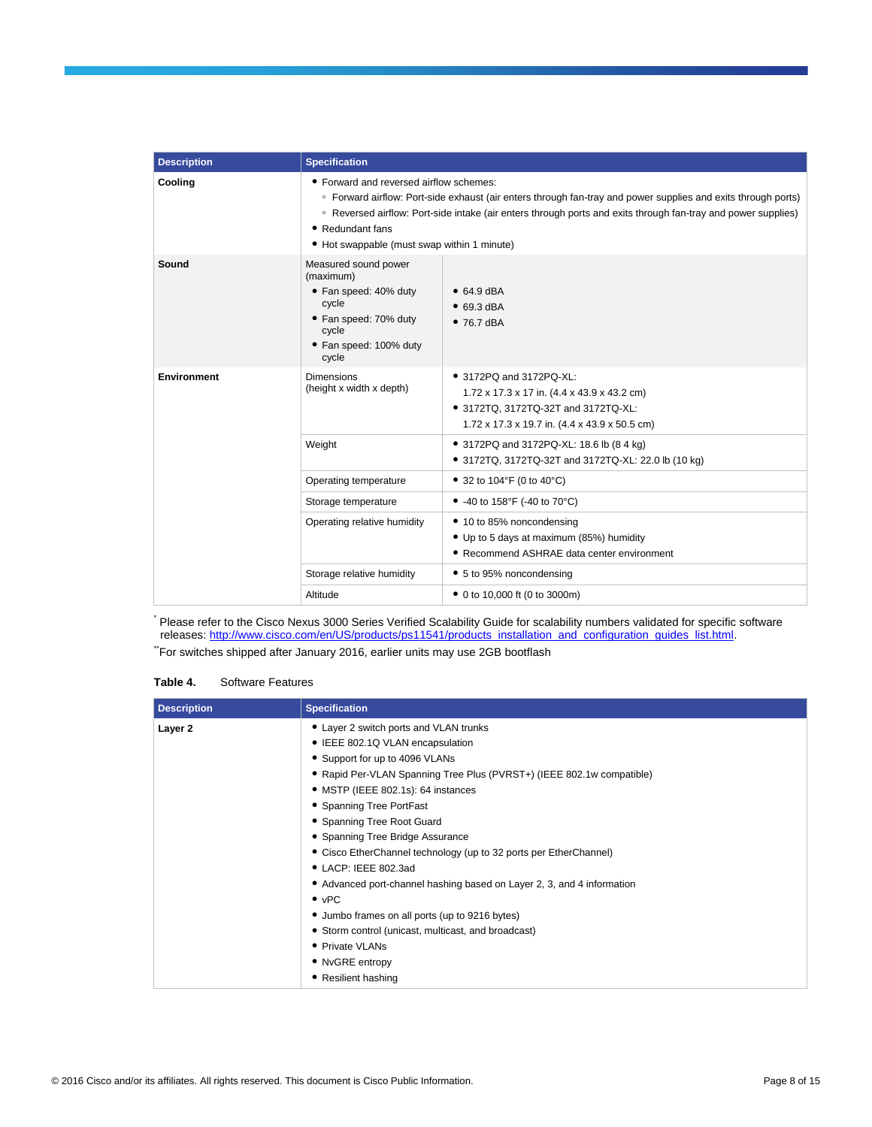| <b>Description</b> | <b>Specification</b>                                                                                                                                                                                                                                                                                                                         |                                                                                                                                                                |
|--------------------|----------------------------------------------------------------------------------------------------------------------------------------------------------------------------------------------------------------------------------------------------------------------------------------------------------------------------------------------|----------------------------------------------------------------------------------------------------------------------------------------------------------------|
| Cooling            | • Forward and reversed airflow schemes:<br>∘ Forward airflow: Port-side exhaust (air enters through fan-tray and power supplies and exits through ports)<br>◦ Reversed airflow: Port-side intake (air enters through ports and exits through fan-tray and power supplies)<br>• Redundant fans<br>• Hot swappable (must swap within 1 minute) |                                                                                                                                                                |
| Sound              | Measured sound power<br>(maximum)<br>• Fan speed: 40% duty<br>cycle<br>• Fan speed: 70% duty<br>cycle<br>• Fan speed: 100% duty<br>cycle                                                                                                                                                                                                     | $\bullet$ 64.9 dBA<br>$\bullet$ 69.3 dBA<br>$•76.7$ dBA                                                                                                        |
| <b>Environment</b> | <b>Dimensions</b><br>(height x width x depth)                                                                                                                                                                                                                                                                                                | • 3172PQ and 3172PQ-XL:<br>1.72 x 17.3 x 17 in. (4.4 x 43.9 x 43.2 cm)<br>• 3172TQ, 3172TQ-32T and 3172TQ-XL:<br>1.72 x 17.3 x 19.7 in. (4.4 x 43.9 x 50.5 cm) |
|                    | Weight                                                                                                                                                                                                                                                                                                                                       | • 3172PQ and 3172PQ-XL: 18.6 lb (8 4 kg)<br>• 3172TQ, 3172TQ-32T and 3172TQ-XL: 22.0 lb (10 kg)                                                                |
|                    | Operating temperature                                                                                                                                                                                                                                                                                                                        | • 32 to 104°F (0 to 40°C)                                                                                                                                      |
|                    | Storage temperature                                                                                                                                                                                                                                                                                                                          | • -40 to 158°F (-40 to 70°C)                                                                                                                                   |
|                    | Operating relative humidity                                                                                                                                                                                                                                                                                                                  | • 10 to 85% noncondensing<br>• Up to 5 days at maximum (85%) humidity<br>• Recommend ASHRAE data center environment                                            |
|                    | Storage relative humidity                                                                                                                                                                                                                                                                                                                    | • 5 to 95% noncondensing                                                                                                                                       |
|                    | Altitude                                                                                                                                                                                                                                                                                                                                     | • 0 to 10,000 ft (0 to 3000m)                                                                                                                                  |

\* Please refer to the Cisco Nexus 3000 Series Verified Scalability Guide for scalability numbers validated for specific software releases: [http://www.cisco.com/en/US/products/ps11541/products\\_installation\\_and\\_configuration\\_guides\\_list.html.](http://www.cisco.com/en/US/products/ps11541/products_installation_and_configuration_guides_list.html)

\*\*For switches shipped after January 2016, earlier units may use 2GB bootflash

## **Table 4.** Software Features

| <b>Description</b> | <b>Specification</b>                                                   |
|--------------------|------------------------------------------------------------------------|
| Layer 2            | • Layer 2 switch ports and VLAN trunks                                 |
|                    | • IEEE 802.1Q VLAN encapsulation                                       |
|                    | • Support for up to 4096 VLANs                                         |
|                    | • Rapid Per-VLAN Spanning Tree Plus (PVRST+) (IEEE 802.1w compatible)  |
|                    | • MSTP (IEEE 802.1s): 64 instances                                     |
|                    | • Spanning Tree PortFast                                               |
|                    | • Spanning Tree Root Guard                                             |
|                    | • Spanning Tree Bridge Assurance                                       |
|                    | • Cisco EtherChannel technology (up to 32 ports per EtherChannel)      |
|                    | • LACP: IEEE 802.3ad                                                   |
|                    | • Advanced port-channel hashing based on Layer 2, 3, and 4 information |
|                    | $\bullet$ vPC                                                          |
|                    | • Jumbo frames on all ports (up to 9216 bytes)                         |
|                    | • Storm control (unicast, multicast, and broadcast)                    |
|                    | • Private VLANs                                                        |
|                    | • NvGRE entropy                                                        |
|                    | • Resilient hashing                                                    |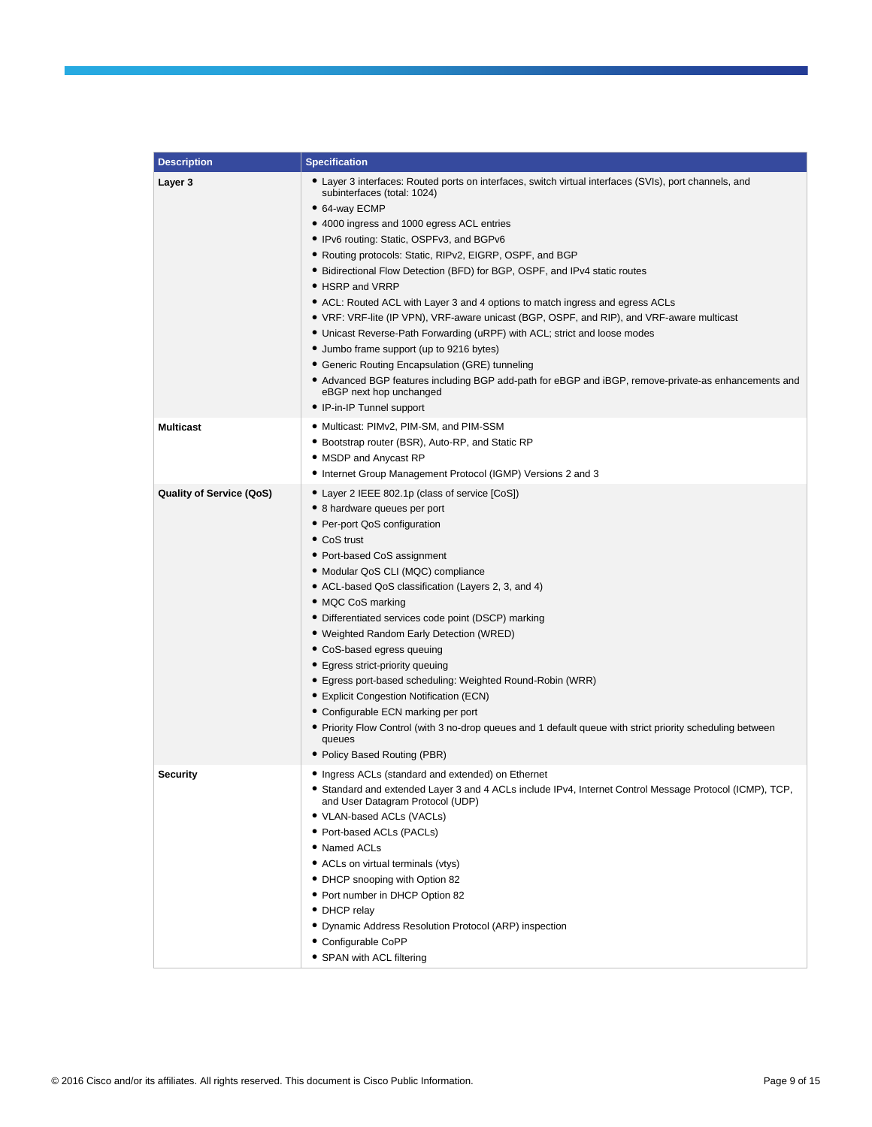| <b>Description</b>              | <b>Specification</b>                                                                                                                                                                                                                                                                                                                                                                                                                                                                                                                                                                                                                                                                                                                                                                                                                                                                                                                     |
|---------------------------------|------------------------------------------------------------------------------------------------------------------------------------------------------------------------------------------------------------------------------------------------------------------------------------------------------------------------------------------------------------------------------------------------------------------------------------------------------------------------------------------------------------------------------------------------------------------------------------------------------------------------------------------------------------------------------------------------------------------------------------------------------------------------------------------------------------------------------------------------------------------------------------------------------------------------------------------|
| Layer 3                         | • Layer 3 interfaces: Routed ports on interfaces, switch virtual interfaces (SVIs), port channels, and<br>subinterfaces (total: 1024)<br>• 64-way ECMP<br>• 4000 ingress and 1000 egress ACL entries<br>• IPv6 routing: Static, OSPFv3, and BGPv6<br>• Routing protocols: Static, RIPv2, EIGRP, OSPF, and BGP<br>• Bidirectional Flow Detection (BFD) for BGP, OSPF, and IPv4 static routes<br>• HSRP and VRRP<br>• ACL: Routed ACL with Layer 3 and 4 options to match ingress and egress ACLs<br>• VRF: VRF-lite (IP VPN), VRF-aware unicast (BGP, OSPF, and RIP), and VRF-aware multicast<br>• Unicast Reverse-Path Forwarding (uRPF) with ACL; strict and loose modes<br>• Jumbo frame support (up to 9216 bytes)<br>• Generic Routing Encapsulation (GRE) tunneling<br>• Advanced BGP features including BGP add-path for eBGP and iBGP, remove-private-as enhancements and<br>eBGP next hop unchanged<br>• IP-in-IP Tunnel support |
| <b>Multicast</b>                | • Multicast: PIMv2, PIM-SM, and PIM-SSM<br>• Bootstrap router (BSR), Auto-RP, and Static RP<br>• MSDP and Anycast RP<br>• Internet Group Management Protocol (IGMP) Versions 2 and 3                                                                                                                                                                                                                                                                                                                                                                                                                                                                                                                                                                                                                                                                                                                                                     |
| <b>Quality of Service (QoS)</b> | • Layer 2 IEEE 802.1p (class of service [CoS])<br>• 8 hardware queues per port<br>• Per-port QoS configuration<br>• CoS trust<br>• Port-based CoS assignment<br>• Modular QoS CLI (MQC) compliance<br>• ACL-based QoS classification (Layers 2, 3, and 4)<br>• MQC CoS marking<br>• Differentiated services code point (DSCP) marking<br>• Weighted Random Early Detection (WRED)<br>• CoS-based egress queuing<br>• Egress strict-priority queuing<br>• Egress port-based scheduling: Weighted Round-Robin (WRR)<br>• Explicit Congestion Notification (ECN)<br>• Configurable ECN marking per port<br>• Priority Flow Control (with 3 no-drop queues and 1 default queue with strict priority scheduling between<br>queues<br>• Policy Based Routing (PBR)                                                                                                                                                                             |
| <b>Security</b>                 | • Ingress ACLs (standard and extended) on Ethernet<br>Standard and extended Layer 3 and 4 ACLs include IPv4, Internet Control Message Protocol (ICMP), TCP,<br>and User Datagram Protocol (UDP)<br>• VLAN-based ACLs (VACLs)<br>• Port-based ACLs (PACLs)<br>• Named ACLs<br>• ACLs on virtual terminals (vtys)<br>• DHCP snooping with Option 82<br>• Port number in DHCP Option 82<br>• DHCP relay<br>• Dynamic Address Resolution Protocol (ARP) inspection<br>• Configurable CoPP<br>• SPAN with ACL filtering                                                                                                                                                                                                                                                                                                                                                                                                                       |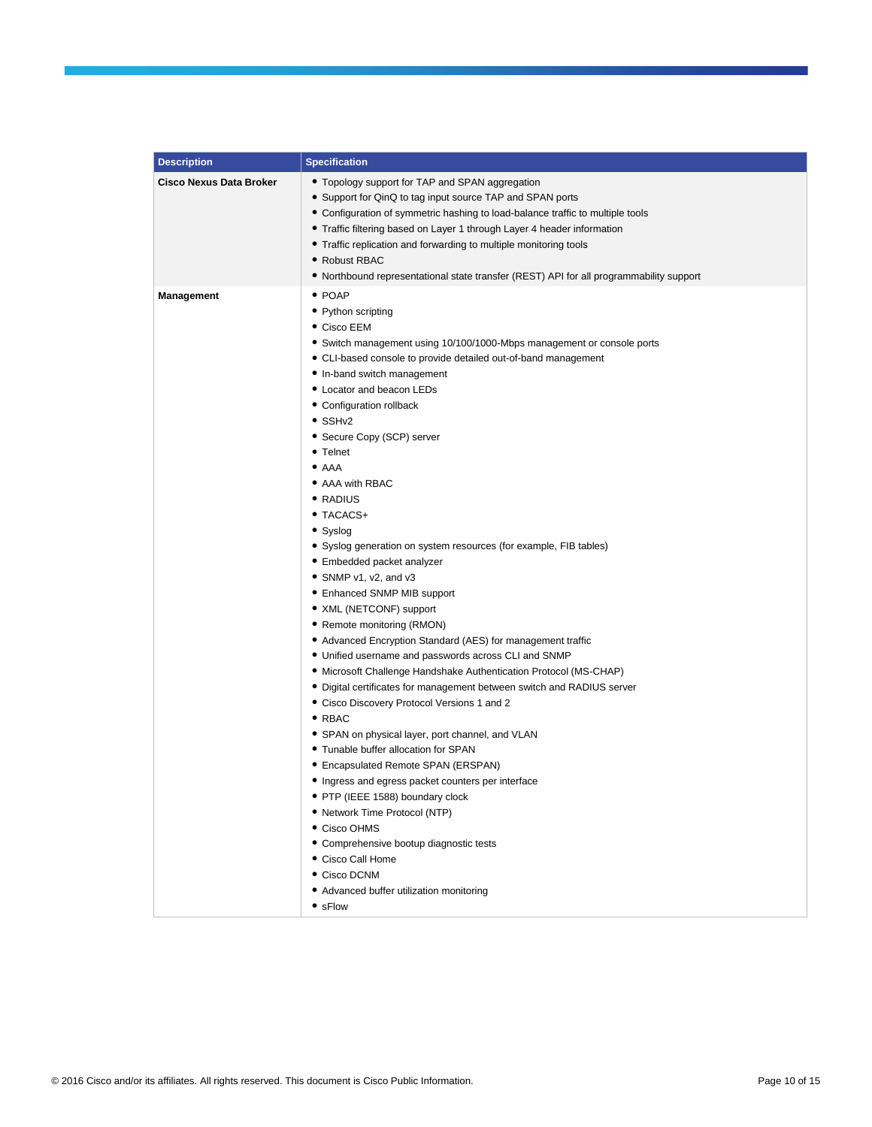| <b>Description</b>             | <b>Specification</b>                                                                    |
|--------------------------------|-----------------------------------------------------------------------------------------|
| <b>Cisco Nexus Data Broker</b> | • Topology support for TAP and SPAN aggregation                                         |
|                                | • Support for QinQ to tag input source TAP and SPAN ports                               |
|                                | • Configuration of symmetric hashing to load-balance traffic to multiple tools          |
|                                | • Traffic filtering based on Layer 1 through Layer 4 header information                 |
|                                | • Traffic replication and forwarding to multiple monitoring tools                       |
|                                | • Robust RBAC                                                                           |
|                                | • Northbound representational state transfer (REST) API for all programmability support |
| <b>Management</b>              | $\bullet$ POAP                                                                          |
|                                | • Python scripting                                                                      |
|                                | • Cisco EEM                                                                             |
|                                | • Switch management using 10/100/1000-Mbps management or console ports                  |
|                                | • CLI-based console to provide detailed out-of-band management                          |
|                                | • In-band switch management                                                             |
|                                | • Locator and beacon LEDs                                                               |
|                                | • Configuration rollback                                                                |
|                                | $\bullet$ SSH <sub>v2</sub>                                                             |
|                                | • Secure Copy (SCP) server                                                              |
|                                | • Telnet                                                                                |
|                                | $\bullet$ AAA                                                                           |
|                                | • AAA with RBAC                                                                         |
|                                | • RADIUS                                                                                |
|                                | • TACACS+                                                                               |
|                                | • Syslog                                                                                |
|                                | • Syslog generation on system resources (for example, FIB tables)                       |
|                                | • Embedded packet analyzer                                                              |
|                                | • SNMP v1, v2, and v3                                                                   |
|                                | • Enhanced SNMP MIB support                                                             |
|                                | • XML (NETCONF) support                                                                 |
|                                | • Remote monitoring (RMON)                                                              |
|                                | • Advanced Encryption Standard (AES) for management traffic                             |
|                                | • Unified username and passwords across CLI and SNMP                                    |
|                                | • Microsoft Challenge Handshake Authentication Protocol (MS-CHAP)                       |
|                                | • Digital certificates for management between switch and RADIUS server                  |
|                                | • Cisco Discovery Protocol Versions 1 and 2                                             |
|                                | $\bullet$ RBAC                                                                          |
|                                | • SPAN on physical layer, port channel, and VLAN                                        |
|                                | • Tunable buffer allocation for SPAN                                                    |
|                                | • Encapsulated Remote SPAN (ERSPAN)                                                     |
|                                | • Ingress and egress packet counters per interface                                      |
|                                | • PTP (IEEE 1588) boundary clock                                                        |
|                                | • Network Time Protocol (NTP)                                                           |
|                                | • Cisco OHMS                                                                            |
|                                | • Comprehensive bootup diagnostic tests                                                 |
|                                | • Cisco Call Home                                                                       |
|                                | • Cisco DCNM                                                                            |
|                                | • Advanced buffer utilization monitoring                                                |
|                                | • sFlow                                                                                 |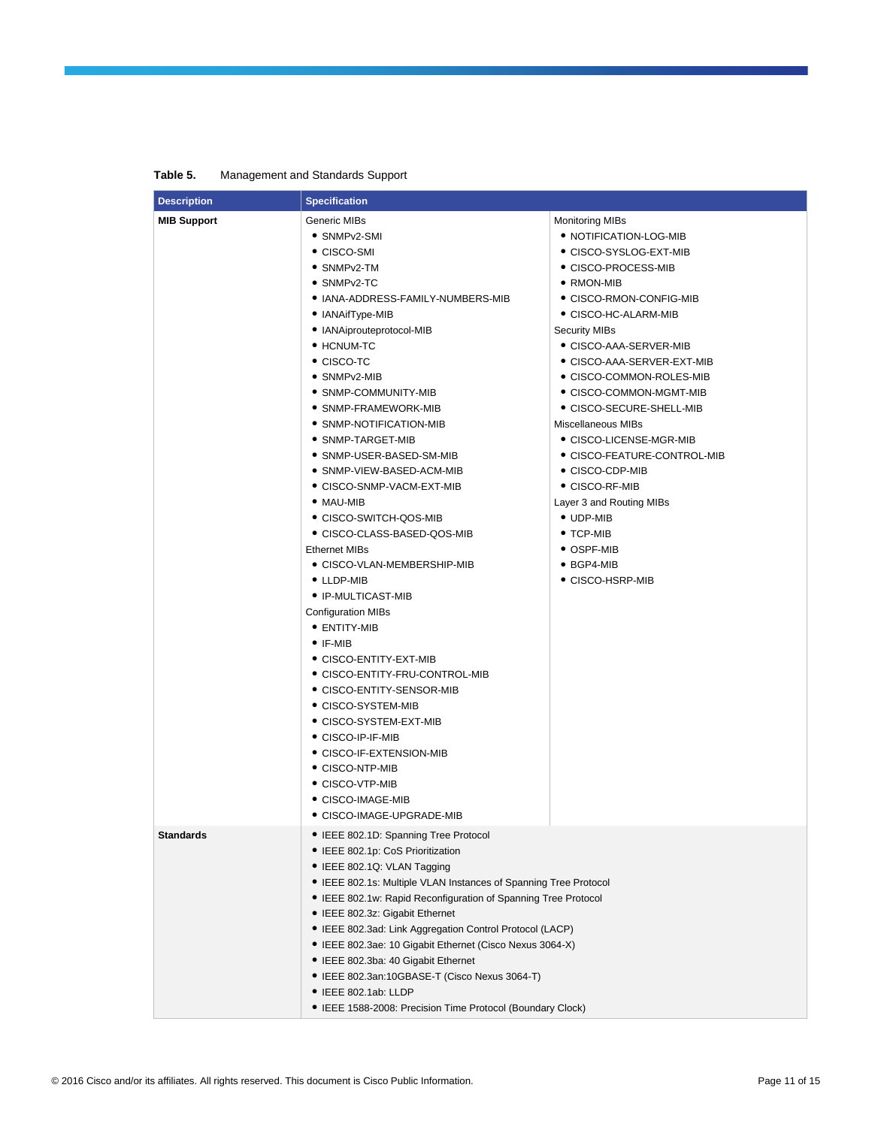| <b>Description</b> | <b>Specification</b>                                             |                                 |  |
|--------------------|------------------------------------------------------------------|---------------------------------|--|
| <b>MIB Support</b> | Generic MIBs                                                     | <b>Monitoring MIBs</b>          |  |
|                    | • SNMPv2-SMI                                                     | • NOTIFICATION-LOG-MIB          |  |
|                    | $\bullet$ CISCO-SMI                                              | ● CISCO-SYSLOG-EXT-MIB          |  |
|                    | $\bullet$ SNMP $v$ 2-TM                                          | ● CISCO-PROCESS-MIB             |  |
|                    | • SNMPv2-TC                                                      | • RMON-MIB                      |  |
|                    | ● IANA-ADDRESS-FAMILY-NUMBERS-MIB                                | ● CISCO-RMON-CONFIG-MIB         |  |
|                    | • IANAifType-MIB                                                 | • CISCO-HC-ALARM-MIB            |  |
|                    | • IANAiprouteprotocol-MIB                                        | Security MIBs                   |  |
|                    | • HCNUM-TC                                                       | ● CISCO-AAA-SERVER-MIB          |  |
|                    | $\bullet$ CISCO-TC                                               | ● CISCO-AAA-SERVER-EXT-MIB      |  |
|                    | • SNMPv2-MIB                                                     | • CISCO-COMMON-ROLES-MIB        |  |
|                    | • SNMP-COMMUNITY-MIB                                             | • CISCO-COMMON-MGMT-MIB         |  |
|                    | • SNMP-FRAMEWORK-MIB                                             | ● CISCO-SECURE-SHELL-MIB        |  |
|                    | • SNMP-NOTIFICATION-MIB                                          | Miscellaneous MIBs              |  |
|                    | $\bullet$ SNMP-TARGET-MIB                                        | $\bullet$ CISCO-LICENSE-MGR-MIB |  |
|                    | ● SNMP-USER-BASED-SM-MIB                                         | ● CISCO-FEATURE-CONTROL-MIB     |  |
|                    | • SNMP-VIEW-BASED-ACM-MIB                                        | ● CISCO-CDP-MIB                 |  |
|                    | ● CISCO-SNMP-VACM-EXT-MIB                                        | • CISCO-RF-MIB                  |  |
|                    | $\bullet$ MAU-MIB                                                | Layer 3 and Routing MIBs        |  |
|                    | • CISCO-SWITCH-QOS-MIB                                           | • UDP-MIB                       |  |
|                    | CISCO-CLASS-BASED-QOS-MIB                                        | $\bullet$ TCP-MIB               |  |
|                    | <b>Ethernet MIBs</b>                                             | $\bullet$ OSPF-MIB              |  |
|                    | • CISCO-VLAN-MEMBERSHIP-MIB                                      | • BGP4-MIB                      |  |
|                    | $\bullet$ LLDP-MIB                                               | • CISCO-HSRP-MIB                |  |
|                    | • IP-MULTICAST-MIB                                               |                                 |  |
|                    | Configuration MIBs                                               |                                 |  |
|                    | • ENTITY-MIB                                                     |                                 |  |
|                    | $\bullet$ IF-MIB                                                 |                                 |  |
|                    | • CISCO-ENTITY-EXT-MIB                                           |                                 |  |
|                    | ● CISCO-ENTITY-FRU-CONTROL-MIB                                   |                                 |  |
|                    | ● CISCO-ENTITY-SENSOR-MIB                                        |                                 |  |
|                    | · CISCO-SYSTEM-MIB                                               |                                 |  |
|                    | • CISCO-SYSTEM-EXT-MIB                                           |                                 |  |
|                    | ● CISCO-IP-IF-MIB                                                |                                 |  |
|                    | • CISCO-IF-EXTENSION-MIB                                         |                                 |  |
|                    | $\bullet$ CISCO-NTP-MIB                                          |                                 |  |
|                    | ● CISCO-VTP-MIB                                                  |                                 |  |
|                    | ● CISCO-IMAGE-MIB<br>● CISCO-IMAGE-UPGRADE-MIB                   |                                 |  |
|                    |                                                                  |                                 |  |
| <b>Standards</b>   | • IEEE 802.1D: Spanning Tree Protocol                            |                                 |  |
|                    | • IEEE 802.1p: CoS Prioritization                                |                                 |  |
|                    | • IEEE 802.1Q: VLAN Tagging                                      |                                 |  |
|                    | • IEEE 802.1s: Multiple VLAN Instances of Spanning Tree Protocol |                                 |  |
|                    | • IEEE 802.1w: Rapid Reconfiguration of Spanning Tree Protocol   |                                 |  |
|                    | • IEEE 802.3z: Gigabit Ethernet                                  |                                 |  |
|                    | • IEEE 802.3ad: Link Aggregation Control Protocol (LACP)         |                                 |  |
|                    | • IEEE 802.3ae: 10 Gigabit Ethernet (Cisco Nexus 3064-X)         |                                 |  |
|                    | • IEEE 802.3ba: 40 Gigabit Ethernet                              |                                 |  |
|                    | • IEEE 802.3an:10GBASE-T (Cisco Nexus 3064-T)                    |                                 |  |
|                    | • IEEE 802.1ab: LLDP                                             |                                 |  |
|                    | • IEEE 1588-2008: Precision Time Protocol (Boundary Clock)       |                                 |  |

**Table 5.** Management and Standards Support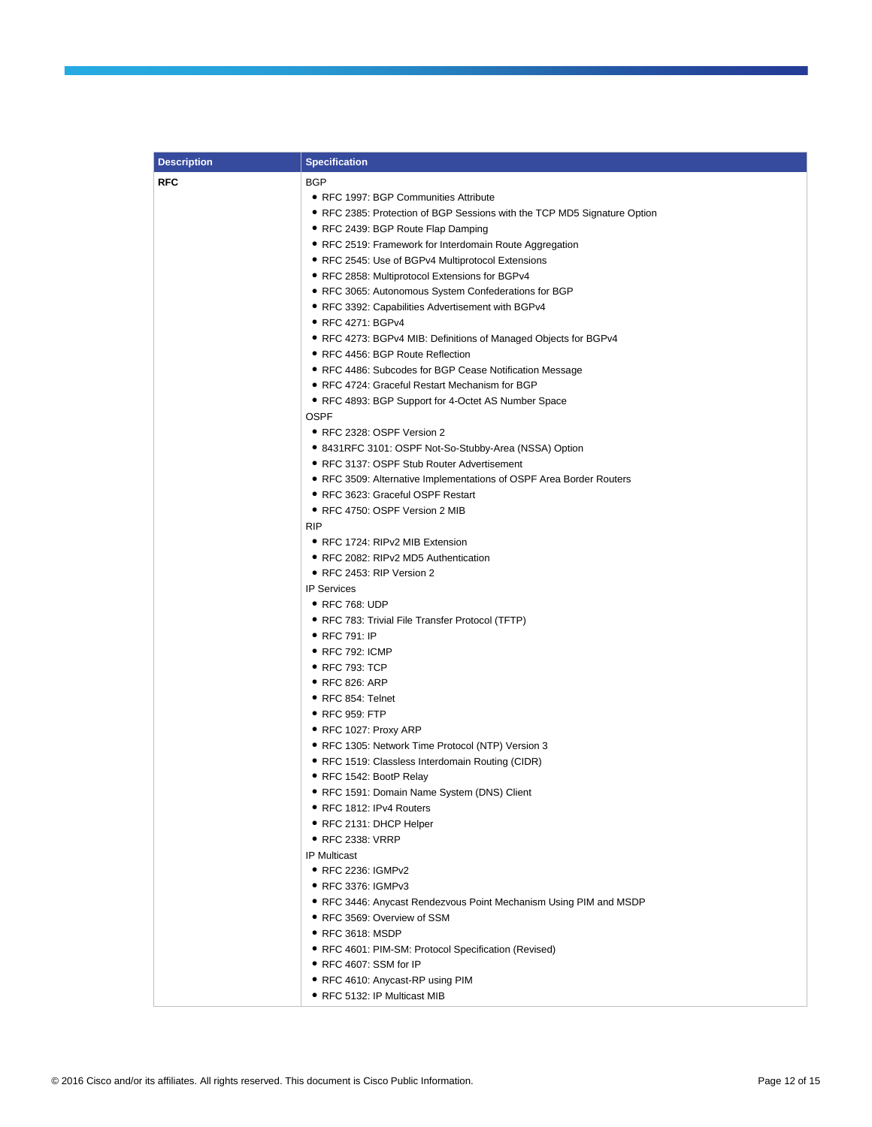| <b>Description</b> | <b>Specification</b>                                                     |
|--------------------|--------------------------------------------------------------------------|
| <b>RFC</b>         | <b>BGP</b>                                                               |
|                    | • RFC 1997: BGP Communities Attribute                                    |
|                    | • RFC 2385: Protection of BGP Sessions with the TCP MD5 Signature Option |
|                    | • RFC 2439: BGP Route Flap Damping                                       |
|                    | • RFC 2519: Framework for Interdomain Route Aggregation                  |
|                    | • RFC 2545: Use of BGPv4 Multiprotocol Extensions                        |
|                    | • RFC 2858: Multiprotocol Extensions for BGPv4                           |
|                    | • RFC 3065: Autonomous System Confederations for BGP                     |
|                    | • RFC 3392: Capabilities Advertisement with BGPv4                        |
|                    | • RFC 4271: BGPv4                                                        |
|                    | • RFC 4273: BGPv4 MIB: Definitions of Managed Objects for BGPv4          |
|                    | • RFC 4456: BGP Route Reflection                                         |
|                    | • RFC 4486: Subcodes for BGP Cease Notification Message                  |
|                    | • RFC 4724: Graceful Restart Mechanism for BGP                           |
|                    | • RFC 4893: BGP Support for 4-Octet AS Number Space                      |
|                    | OSPF                                                                     |
|                    | • RFC 2328: OSPF Version 2                                               |
|                    | • 8431RFC 3101: OSPF Not-So-Stubby-Area (NSSA) Option                    |
|                    | • RFC 3137: OSPF Stub Router Advertisement                               |
|                    | • RFC 3509: Alternative Implementations of OSPF Area Border Routers      |
|                    | • RFC 3623: Graceful OSPF Restart                                        |
|                    | • RFC 4750: OSPF Version 2 MIB                                           |
|                    | RIP                                                                      |
|                    | • RFC 1724: RIPv2 MIB Extension                                          |
|                    | • RFC 2082: RIPv2 MD5 Authentication                                     |
|                    | • RFC 2453: RIP Version 2                                                |
|                    | <b>IP Services</b>                                                       |
|                    | • RFC 768: UDP                                                           |
|                    | • RFC 783: Trivial File Transfer Protocol (TFTP)                         |
|                    | $\bullet$ RFC 791: IP                                                    |
|                    | $\bullet$ RFC 792: ICMP                                                  |
|                    | $\bullet$ RFC 793: TCP                                                   |
|                    | • RFC 826: ARP                                                           |
|                    | • RFC 854: Telnet                                                        |
|                    | • RFC 959: FTP                                                           |
|                    | ● RFC 1027: Proxy ARP                                                    |
|                    | • RFC 1305: Network Time Protocol (NTP) Version 3                        |
|                    | • RFC 1519: Classless Interdomain Routing (CIDR)                         |
|                    | • RFC 1542: BootP Relay                                                  |
|                    | • RFC 1591: Domain Name System (DNS) Client                              |
|                    | • RFC 1812: IPv4 Routers                                                 |
|                    | • RFC 2131: DHCP Helper                                                  |
|                    | • RFC 2338: VRRP                                                         |
|                    | <b>IP Multicast</b>                                                      |
|                    | • RFC 2236: IGMPv2                                                       |
|                    | • RFC 3376: IGMPv3                                                       |
|                    | • RFC 3446: Anycast Rendezvous Point Mechanism Using PIM and MSDP        |
|                    | • RFC 3569: Overview of SSM                                              |
|                    | • RFC 3618: MSDP                                                         |
|                    | • RFC 4601: PIM-SM: Protocol Specification (Revised)                     |
|                    | ● RFC 4607: SSM for IP                                                   |
|                    | • RFC 4610: Anycast-RP using PIM                                         |
|                    | • RFC 5132: IP Multicast MIB                                             |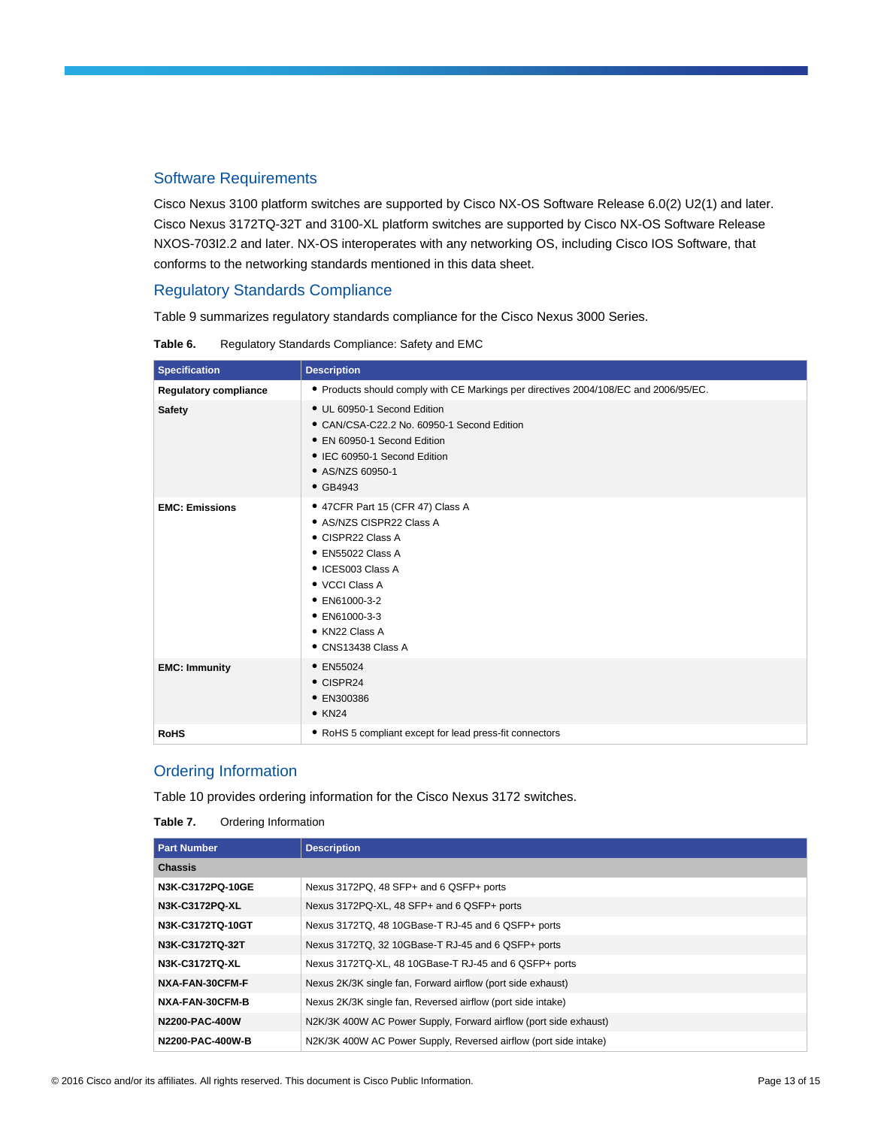## Software Requirements

Cisco Nexus 3100 platform switches are supported by Cisco NX-OS Software Release 6.0(2) U2(1) and later. Cisco Nexus 3172TQ-32T and 3100-XL platform switches are supported by Cisco NX-OS Software Release NXOS-703I2.2 and later. NX-OS interoperates with any networking OS, including Cisco IOS Software, that conforms to the networking standards mentioned in this data sheet.

## Regulatory Standards Compliance

Table 9 summarizes regulatory standards compliance for the Cisco Nexus 3000 Series.

| <b>Specification</b>         | <b>Description</b>                                                                                                                                                                                                      |
|------------------------------|-------------------------------------------------------------------------------------------------------------------------------------------------------------------------------------------------------------------------|
| <b>Regulatory compliance</b> | • Products should comply with CE Markings per directives 2004/108/EC and 2006/95/EC.                                                                                                                                    |
| <b>Safety</b>                | • UL 60950-1 Second Edition<br>• CAN/CSA-C22.2 No. 60950-1 Second Edition<br>• EN 60950-1 Second Edition<br>• IEC 60950-1 Second Edition<br>• AS/NZS 60950-1<br>$\bullet$ GB4943                                        |
| <b>EMC: Emissions</b>        | • 47CFR Part 15 (CFR 47) Class A<br>• AS/NZS CISPR22 Class A<br>• CISPR22 Class A<br>• EN55022 Class A<br>• ICES003 Class A<br>• VCCI Class A<br>• EN61000-3-2<br>• EN61000-3-3<br>• KN22 Class A<br>• CNS13438 Class A |
| <b>EMC: Immunity</b>         | • EN55024<br>$\bullet$ CISPR24<br>• EN300386<br>$\bullet$ KN24                                                                                                                                                          |
| <b>RoHS</b>                  | • RoHS 5 compliant except for lead press-fit connectors                                                                                                                                                                 |

**Table 6.** Regulatory Standards Compliance: Safety and EMC

## Ordering Information

Table 10 provides ordering information for the Cisco Nexus 3172 switches.

| Table 7. | Ordering Information |
|----------|----------------------|
|----------|----------------------|

| <b>Part Number</b> | <b>Description</b>                                               |
|--------------------|------------------------------------------------------------------|
| <b>Chassis</b>     |                                                                  |
| N3K-C3172PQ-10GE   | Nexus 3172PQ, 48 SFP+ and 6 QSFP+ ports                          |
| N3K-C3172PQ-XL     | Nexus 3172PQ-XL, 48 SFP+ and 6 QSFP+ ports                       |
| N3K-C3172TQ-10GT   | Nexus 3172TQ, 48 10GBase-T RJ-45 and 6 QSFP+ ports               |
| N3K-C3172TQ-32T    | Nexus 3172TQ, 32 10GBase-T RJ-45 and 6 QSFP+ ports               |
| N3K-C3172TQ-XL     | Nexus 3172TQ-XL, 48 10GBase-T RJ-45 and 6 QSFP+ ports            |
| NXA-FAN-30CFM-F    | Nexus 2K/3K single fan, Forward airflow (port side exhaust)      |
| NXA-FAN-30CFM-B    | Nexus 2K/3K single fan, Reversed airflow (port side intake)      |
| N2200-PAC-400W     | N2K/3K 400W AC Power Supply, Forward airflow (port side exhaust) |
| N2200-PAC-400W-B   | N2K/3K 400W AC Power Supply, Reversed airflow (port side intake) |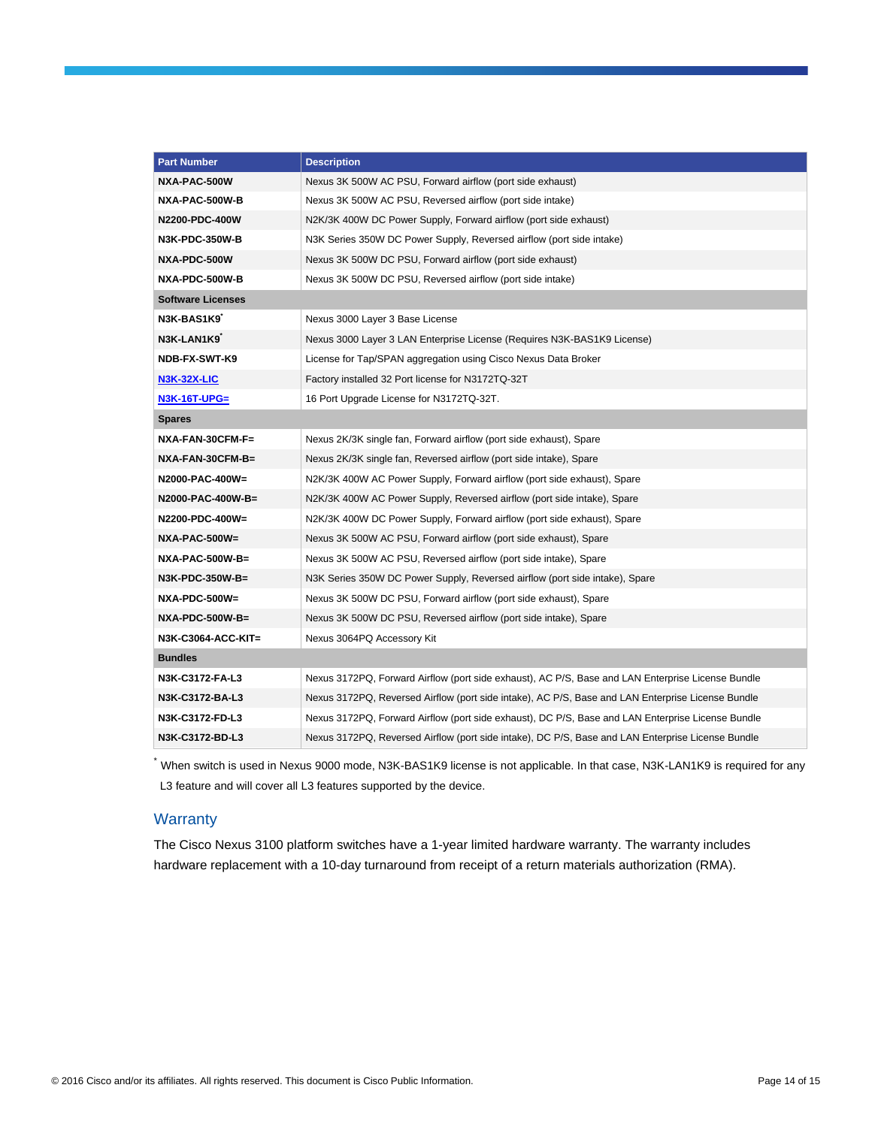| <b>Part Number</b>       | <b>Description</b>                                                                                |  |  |
|--------------------------|---------------------------------------------------------------------------------------------------|--|--|
| NXA-PAC-500W             | Nexus 3K 500W AC PSU, Forward airflow (port side exhaust)                                         |  |  |
| NXA-PAC-500W-B           | Nexus 3K 500W AC PSU, Reversed airflow (port side intake)                                         |  |  |
| N2200-PDC-400W           | N2K/3K 400W DC Power Supply, Forward airflow (port side exhaust)                                  |  |  |
| <b>N3K-PDC-350W-B</b>    | N3K Series 350W DC Power Supply, Reversed airflow (port side intake)                              |  |  |
| NXA-PDC-500W             | Nexus 3K 500W DC PSU, Forward airflow (port side exhaust)                                         |  |  |
| NXA-PDC-500W-B           | Nexus 3K 500W DC PSU, Reversed airflow (port side intake)                                         |  |  |
| <b>Software Licenses</b> |                                                                                                   |  |  |
| N3K-BAS1K9               | Nexus 3000 Layer 3 Base License                                                                   |  |  |
| N3K-LAN1K9               | Nexus 3000 Layer 3 LAN Enterprise License (Requires N3K-BAS1K9 License)                           |  |  |
| NDB-FX-SWT-K9            | License for Tap/SPAN aggregation using Cisco Nexus Data Broker                                    |  |  |
| <b>N3K-32X-LIC</b>       | Factory installed 32 Port license for N3172TQ-32T                                                 |  |  |
| <b>N3K-16T-UPG=</b>      | 16 Port Upgrade License for N3172TQ-32T.                                                          |  |  |
| <b>Spares</b>            |                                                                                                   |  |  |
| NXA-FAN-30CFM-F=         | Nexus 2K/3K single fan, Forward airflow (port side exhaust), Spare                                |  |  |
| NXA-FAN-30CFM-B=         | Nexus 2K/3K single fan, Reversed airflow (port side intake), Spare                                |  |  |
| N2000-PAC-400W=          | N2K/3K 400W AC Power Supply, Forward airflow (port side exhaust), Spare                           |  |  |
| N2000-PAC-400W-B=        | N2K/3K 400W AC Power Supply, Reversed airflow (port side intake), Spare                           |  |  |
| N2200-PDC-400W=          | N2K/3K 400W DC Power Supply, Forward airflow (port side exhaust), Spare                           |  |  |
| NXA-PAC-500W=            | Nexus 3K 500W AC PSU, Forward airflow (port side exhaust), Spare                                  |  |  |
| <b>NXA-PAC-500W-B=</b>   | Nexus 3K 500W AC PSU, Reversed airflow (port side intake), Spare                                  |  |  |
| N3K-PDC-350W-B=          | N3K Series 350W DC Power Supply, Reversed airflow (port side intake), Spare                       |  |  |
| NXA-PDC-500W=            | Nexus 3K 500W DC PSU, Forward airflow (port side exhaust), Spare                                  |  |  |
| NXA-PDC-500W-B=          | Nexus 3K 500W DC PSU, Reversed airflow (port side intake), Spare                                  |  |  |
| N3K-C3064-ACC-KIT=       | Nexus 3064PQ Accessory Kit                                                                        |  |  |
| <b>Bundles</b>           |                                                                                                   |  |  |
| N3K-C3172-FA-L3          | Nexus 3172PQ, Forward Airflow (port side exhaust), AC P/S, Base and LAN Enterprise License Bundle |  |  |
| N3K-C3172-BA-L3          | Nexus 3172PQ, Reversed Airflow (port side intake), AC P/S, Base and LAN Enterprise License Bundle |  |  |
| N3K-C3172-FD-L3          | Nexus 3172PQ, Forward Airflow (port side exhaust), DC P/S, Base and LAN Enterprise License Bundle |  |  |
| N3K-C3172-BD-L3          | Nexus 3172PQ, Reversed Airflow (port side intake), DC P/S, Base and LAN Enterprise License Bundle |  |  |

\*<br>When switch is used in Nexus 9000 mode, N3K-BAS1K9 license is not applicable. In that case, N3K-LAN1K9 is required for any L3 feature and will cover all L3 features supported by the device.

## **Warranty**

The Cisco Nexus 3100 platform switches have a 1-year limited hardware warranty. The warranty includes hardware replacement with a 10-day turnaround from receipt of a return materials authorization (RMA).